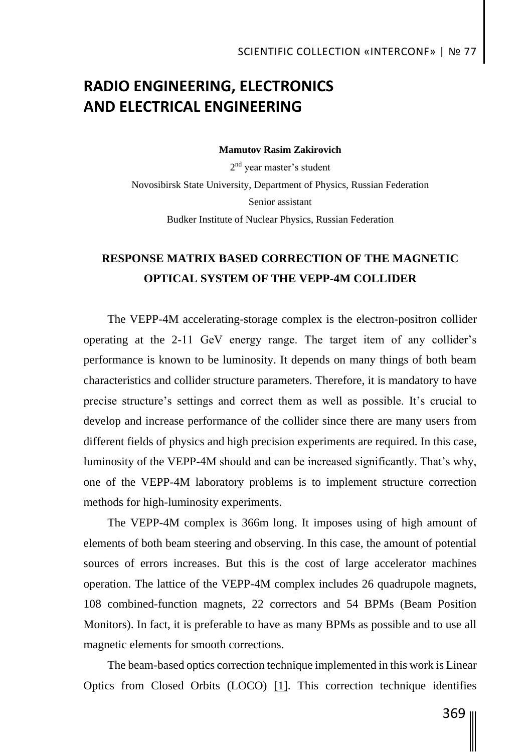# **RADIO ENGINEERING, ELECTRONICS AND ELECTRICAL ENGINEERING**

**Mamutov Rasim Zakirovich**

2<sup>nd</sup> year master's student Novosibirsk State University, Department of Physics, Russian Federation Senior assistant Budker Institute of Nuclear Physics, Russian Federation

### **RESPONSE MATRIX BASED CORRECTION OF THE MAGNETIC OPTICAL SYSTEM OF THE VEPP-4M COLLIDER**

The VEPP-4M accelerating-storage complex is the electron-positron collider operating at the 2-11 GeV energy range. The target item of any collider's performance is known to be luminosity. It depends on many things of both beam characteristics and collider structure parameters. Therefore, it is mandatory to have precise structure's settings and correct them as well as possible. It's crucial to develop and increase performance of the collider since there are many users from different fields of physics and high precision experiments are required. In this case, luminosity of the VEPP-4M should and can be increased significantly. That's why, one of the VEPP-4M laboratory problems is to implement structure correction methods for high-luminosity experiments.

The VEPP-4M complex is 366m long. It imposes using of high amount of elements of both beam steering and observing. In this case, the amount of potential sources of errors increases. But this is the cost of large accelerator machines operation. The lattice of the VEPP-4M complex includes 26 quadrupole magnets, 108 combined-function magnets, 22 correctors and 54 BPMs (Beam Position Monitors). In fact, it is preferable to have as many BPMs as possible and to use all magnetic elements for smooth corrections.

The beam-based optics correction technique implemented in this work is Linear Optics from Closed Orbits (LOCO) [1]. This correction technique identifies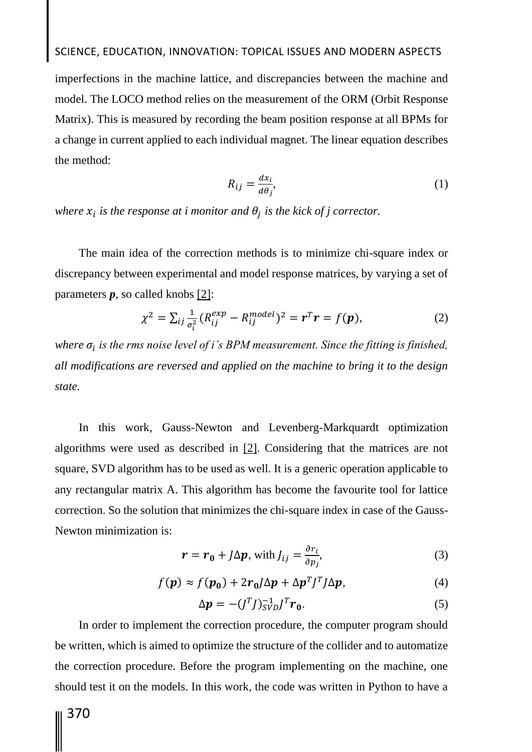# SCIENCE, EDUCATION, INNOVATION: TOPICAL ISSUES AND MODERN ASPECTS

imperfections in the machine lattice, and discrepancies between the machine and model. The LOCO method relies on the measurement of the ORM (Orbit Response Matrix). This is measured by recording the beam position response at all BPMs for a change in current applied to each individual magnet. The linear equation describes the method:

$$
R_{ij} = \frac{dx_i}{d\theta_j},\tag{1}
$$

where  $x_i$  is the response at i monitor and  $\theta_j$  is the kick of j corrector.

The main idea of the correction methods is to minimize chi-square index or discrepancy between experimental and model response matrices, by varying a set of parameters *p*, so called knobs [2]:

$$
\chi^{2} = \sum_{ij} \frac{1}{\sigma_{i}^{2}} (R_{ij}^{exp} - R_{ij}^{model})^{2} = r^{T}r = f(p),
$$
 (2)

where  $\sigma_i$  is the rms noise level of i's BPM measurement. Since the fitting is finished, *all modifications are reversed and applied on the machine to bring it to the design state.*

In this work, Gauss-Newton and Levenberg-Markquardt optimization algorithms were used as described in [2]. Considering that the matrices are not square, SVD algorithm has to be used as well. It is a generic operation applicable to any rectangular matrix A. This algorithm has become the favourite tool for lattice correction. So the solution that minimizes the chi-square index in case of the Gauss-Newton minimization is:

$$
\boldsymbol{r} = \boldsymbol{r}_0 + J\Delta \boldsymbol{p}, \text{ with } J_{ij} = \frac{\partial r_i}{\partial p_j}, \tag{3}
$$

$$
f(\mathbf{p}) \approx f(\mathbf{p_0}) + 2r_0 J \Delta \mathbf{p} + \Delta \mathbf{p}^T J^T J \Delta \mathbf{p},\tag{4}
$$

$$
\Delta p = -(J^T J)_{SVD}^{-1} J^T r_0. \tag{5}
$$

In order to implement the correction procedure, the computer program should be written, which is aimed to optimize the structure of the collider and to automatize the correction procedure. Before the program implementing on the machine, one should test it on the models. In this work, the code was written in Python to have a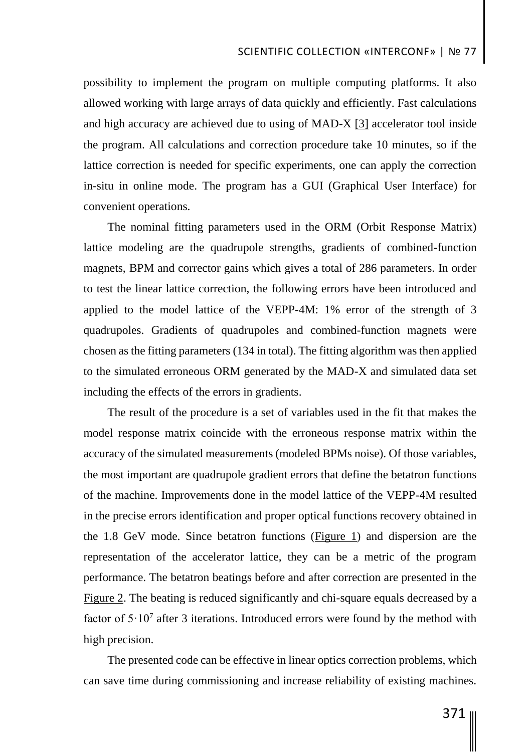possibility to implement the program on multiple computing platforms. It also allowed working with large arrays of data quickly and efficiently. Fast calculations and high accuracy are achieved due to using of MAD-X [3] accelerator tool inside the program. All calculations and correction procedure take 10 minutes, so if the lattice correction is needed for specific experiments, one can apply the correction in-situ in online mode. The program has a GUI (Graphical User Interface) for convenient operations.

The nominal fitting parameters used in the ORM (Orbit Response Matrix) lattice modeling are the quadrupole strengths, gradients of combined-function magnets, BPM and corrector gains which gives a total of 286 parameters. In order to test the linear lattice correction, the following errors have been introduced and applied to the model lattice of the VEPP-4M: 1% error of the strength of 3 quadrupoles. Gradients of quadrupoles and combined-function magnets were chosen as the fitting parameters (134 in total). The fitting algorithm was then applied to the simulated erroneous ORM generated by the MAD-X and simulated data set including the effects of the errors in gradients.

The result of the procedure is a set of variables used in the fit that makes the model response matrix coincide with the erroneous response matrix within the accuracy of the simulated measurements (modeled BPMs noise). Of those variables, the most important are quadrupole gradient errors that define the betatron functions of the machine. Improvements done in the model lattice of the VEPP-4M resulted in the precise errors identification and proper optical functions recovery obtained in the 1.8 GeV mode. Since betatron functions (Figure 1) and dispersion are the representation of the accelerator lattice, they can be a metric of the program performance. The betatron beatings before and after correction are presented in the Figure 2. The beating is reduced significantly and chi-square equals decreased by a factor of  $5 \cdot 10^7$  after 3 iterations. Introduced errors were found by the method with high precision.

The presented code can be effective in linear optics correction problems, which can save time during commissioning and increase reliability of existing machines.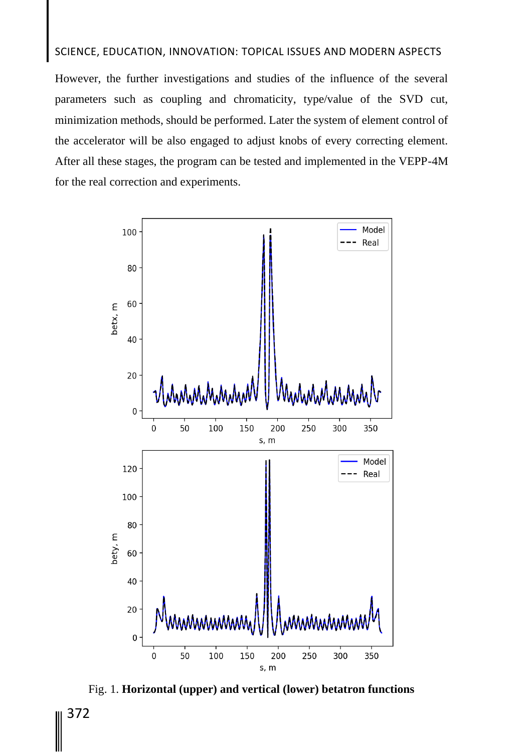#### SCIENCE, EDUCATION, INNOVATION: TOPICAL ISSUES AND MODERN ASPECTS

However, the further investigations and studies of the influence of the several parameters such as coupling and chromaticity, type/value of the SVD cut, minimization methods, should be performed. Later the system of element control of the accelerator will be also engaged to adjust knobs of every correcting element. After all these stages, the program can be tested and implemented in the VEPP-4M for the real correction and experiments.



Fig. 1. **Horizontal (upper) and vertical (lower) betatron functions**

372